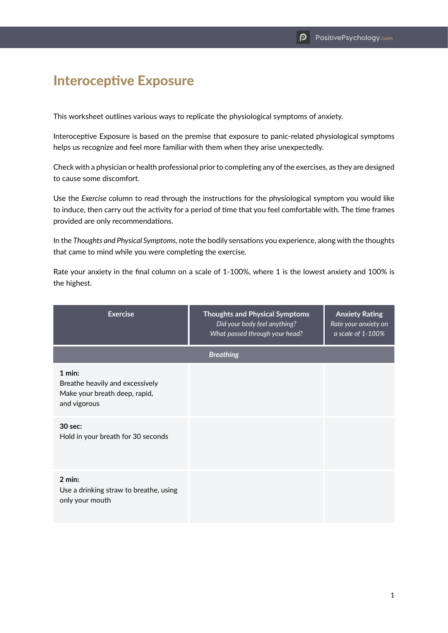## Interoceptive Exposure

This worksheet outlines various ways to replicate the physiological symptoms of anxiety.

Interoceptive Exposure is based on the premise that exposure to panic-related physiological symptoms helps us recognize and feel more familiar with them when they arise unexpectedly.

Check with a physician or health professional prior to completing any of the exercises, as they are designed to cause some discomfort.

Use the *Exercise* column to read through the instructions for the physiological symptom you would like to induce, then carry out the activity for a period of time that you feel comfortable with. The time frames provided are only recommendations.

In the *Thoughts and Physical Symptoms,* note the bodily sensations you experience, along with the thoughts that came to mind while you were completing the exercise.

Rate your anxiety in the final column on a scale of 1-100%, where 1 is the lowest anxiety and 100% is the highest.

| <b>Exercise</b>                                                                            | <b>Thoughts and Physical Symptoms</b><br>Did your body feel anything?<br>What passed through your head? | <b>Anxiety Rating</b><br>Rate your anxiety on<br>a scale of 1-100% |  |
|--------------------------------------------------------------------------------------------|---------------------------------------------------------------------------------------------------------|--------------------------------------------------------------------|--|
| <b>Breathing</b>                                                                           |                                                                                                         |                                                                    |  |
| 1 min:<br>Breathe heavily and excessively<br>Make your breath deep, rapid,<br>and vigorous |                                                                                                         |                                                                    |  |
| 30 sec:<br>Hold in your breath for 30 seconds                                              |                                                                                                         |                                                                    |  |
| $2$ min:<br>Use a drinking straw to breathe, using<br>only your mouth                      |                                                                                                         |                                                                    |  |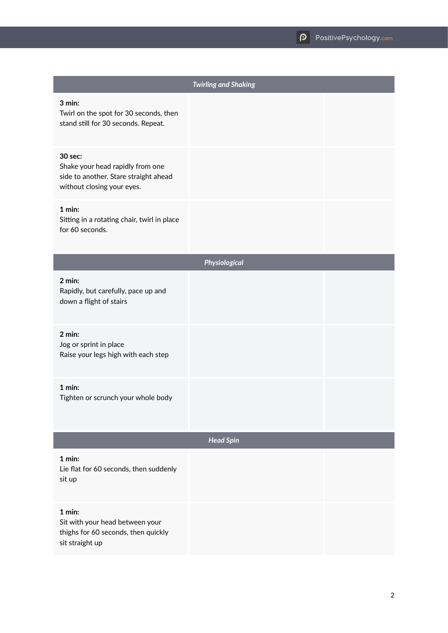|                                                                                                                    | <b>Twirling and Shaking</b> |  |  |  |
|--------------------------------------------------------------------------------------------------------------------|-----------------------------|--|--|--|
| 3 min:<br>Twirl on the spot for 30 seconds, then<br>stand still for 30 seconds. Repeat.                            |                             |  |  |  |
| 30 sec:<br>Shake your head rapidly from one<br>side to another. Stare straight ahead<br>without closing your eyes. |                             |  |  |  |
| 1 min:<br>Sitting in a rotating chair, twirl in place<br>for 60 seconds.                                           |                             |  |  |  |
| Physiological                                                                                                      |                             |  |  |  |
| $2$ min:<br>Rapidly, but carefully, pace up and<br>down a flight of stairs                                         |                             |  |  |  |
| 2 min:<br>Jog or sprint in place<br>Raise your legs high with each step                                            |                             |  |  |  |
| 1 min:<br>Tighten or scrunch your whole body                                                                       |                             |  |  |  |
| <b>Head Spin</b>                                                                                                   |                             |  |  |  |
| 1 min:<br>Lie flat for 60 seconds, then suddenly<br>sit up                                                         |                             |  |  |  |
| 1 min:<br>Sit with your head between your<br>thighs for 60 seconds, then quickly<br>sit straight up                |                             |  |  |  |